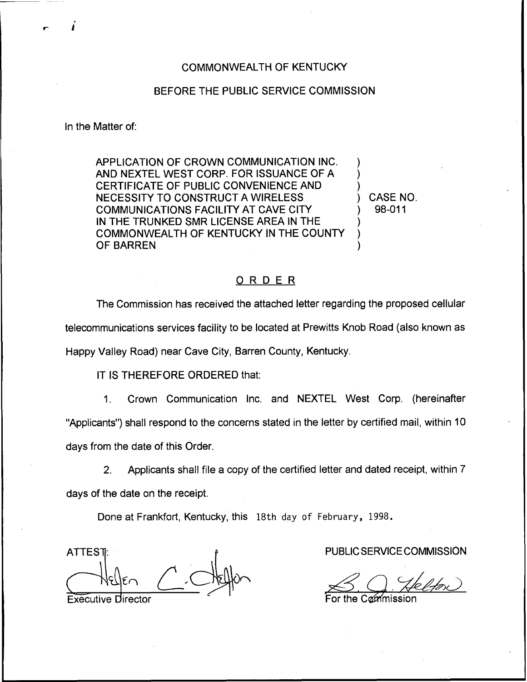## COMMONWEALTH OF KENTUCKY

## BEFORE THE PUBLIC SERVICE COMMISSION

In the Matter of:

APPLICATION OF CROWN COMMUNICATION INC. AND NEXTEL WEST CORP. FOR ISSUANCE OF A CERTIFICATE OF PUBLIC CONVENIENCE AND NECESSITY TO CONSTRUCT A WIRELESS COMMUNICATIONS FACILITY AT CAVE CITY IN THE TRUNKED SMR LICENSE AREA IN THE COMMONWEALTH OF KENTUCKY IN THE COUNTY OF BARREN

) CASE NO. ) 98-011

) ) )

> ) ) )

## ORDER

The Commission has received the attached letter regarding the proposed cellular telecommunications services facility to be located at Prewitts Knob Road (also known as Happy Valley Road) near Cave City, Barren County, Kentucky.

IT IS THEREFORE ORDERED that:

1. Crown Communication Inc. and NEXTEL West Corp. (hereinafter "Applicants") shall respond to the concerns stated in the letter by certified mail, within 10 days from the date of this Order.

2. Applicants shall file a copy of the certified letter and dated receipt, within 7 days of the date on the receipt.

Done at Frankfort, Kentucky, this 18th day of February, 1998.

**ATTEST** 

**Executive Director** 

PUBLIC SERVICE COMMISSION

the Cammission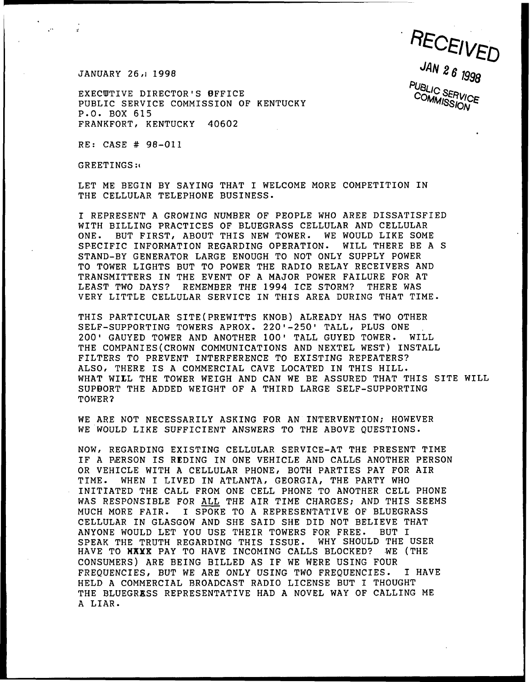JANUARY 26, 1998

 $\mathbb{R}^{18}$ 

EXECUTIVE DIRECTOR'S BFFICE PUBLIC SERVICE COMMISSION OF KENTUCKY P.O. BOX 615 FRANKFORT, KENTUCKY 40602

RE: CASE # 98-011

GREETINGS:(

LET ME BEGIN BY SAYING THAT I WELCOME MORE COMPETITION IN THE CELLULAR TELEPHONE BUSINESS.

RECEIVED

COMMISSION

REPRESENT <sup>A</sup> GROWING NUMBER OF PEOPLE WHO AREE DISSATISFIED WITH BILLING PRACTICES OF BLUEGRASS CELLULAR AND CELLULAR ONE. BUT FIRST, ABOUT THIS NEW TOWER. WE WOULD LIKE SOME SPECIFIC INFORMATION REGARDING OPERATION. WILL THERE BE <sup>A</sup> S STAND-BY GENERATOR LARGE ENOUGH TO NOT ONLY SUPPLY POWER TO TOWER LIGHTS BUT TO POWER THE RADIO RELAY RECEIVERS AND TRANSMITTERS IN THE EVENT OF A MAJOR POWER FAILURE FOR AT LEAST TWO DAYS? REMEMBER THE 1994 ICE STORM? THERE WAS VERY LITTLE CELLULAR SERVICE IN THIS AREA DURING THAT TIME-

THIS PARTICULAR SITE(PREWITTS KNOB) ALREADY HAS TWO OTHER SELF-SUPPORTING TOWERS APROX. 220'-250' TALL, PLUS ONE 200' GAUYED TOWER AND ANOTHER 100' TALL GUYED TOWER. WILL THE COMPANIES(CROWN COMMUNICATIONS AND NEXTEL WEST) INSTALL FILTERS TO PREVENT INTERFERENCE TO EXISTING REPEATERS? ALSO, THERE IS A COMMERCIAL CAVE LOCATED IN THIS HILL. WHAT WILL THE TOWER WEIGH AND CAN WE BE ASSURED THAT THIS SITE WILL SUPBORT THE ADDED WEIGHT OF A THIRD LARGE SELF-SUPPORTING TOWER2

WE ARE NOT NECESSARILY ASKING FOR AN INTERVENTION; HOWEVER WE WOULD LIKE SUFFICIENT ANSWERS TO THE ABOVE QUESTIONS.

NOW, REGARDING EXISTING CELLULAR SERVICE-AT THE PRESENT TIME IF A PERSON IS REDING IN ONE VEHICLE AND CALLS ANOTHER PERSON OR VEHICLE WITH A CELLULAR PHONE, BOTH PARTIES PAY FOR AIR TIME. WHEN I LIVED IN ATLANTA, GEORGIA, THE PARTY WHO INITIATED THE CALL FROM ONE CELL PHONE TO ANOTHER CELL PHONE WAS RESPONSIBLE FOR ALL THE AIR TIME CHARGES; AND THIS SEEMS MUCH MORE FAIR. I SPOKE TO <sup>A</sup> REPRESENTATIVE OF BLUEGRASS CELLULAR IN GLASGOW AND SHE SAID SHE DID NOT BELIEVE THAT ANYONE WOULD LET YOU USE THEIR TOWERS FOR FREE. BUT I<br>SPEAK THE TRUTH REGARDING THIS ISSUE. WHY SHOULD THE USER SPEAK THE TRUTH REGARDING THIS ISSUE. WHY SHOULD THE USE<br>HAVE TO **NAYE** PAY TO HAVE INCOMING CALLS BLOCKED? WE (THE HAVE TO NXXX PAY TO HAVE INCOMING CALLS BLOCKED? CONSUMERS) ARE BEING BILLED AS IF WE WERE USING FOUR FREQUENCIES, BUT WE ARE ONLY USING TWO FREQUENCIES. I HAVE HELD <sup>A</sup> COMMERCIAL BROADCAST RADIO LICENSE BUT I THOUGHT THE BLUEGRESS REPRESENTATIVE HAD A NOVEL WAY OF CALLING ME <sup>A</sup> LIAR.